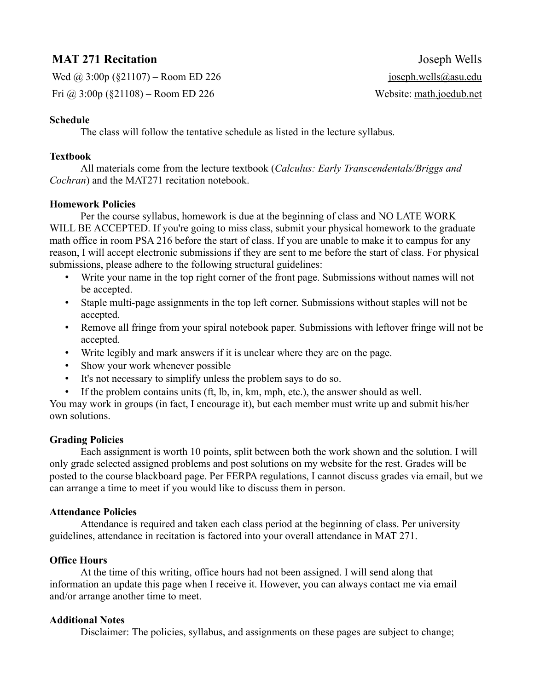# **MAT 271 Recitation** Joseph Wells

Wed  $\omega$  3:00p (§21107) – Room ED 226 joseph.wells@asu.edu Fri  $\omega$  3:00p (§21108) – Room ED 226 Website: math.joedub.net

## **Schedule**

The class will follow the tentative schedule as listed in the lecture syllabus.

### **Textbook**

All materials come from the lecture textbook (*Calculus: Early Transcendentals/Briggs and Cochran*) and the MAT271 recitation notebook.

#### **Homework Policies**

Per the course syllabus, homework is due at the beginning of class and NO LATE WORK WILL BE ACCEPTED. If you're going to miss class, submit your physical homework to the graduate math office in room PSA 216 before the start of class. If you are unable to make it to campus for any reason, I will accept electronic submissions if they are sent to me before the start of class. For physical submissions, please adhere to the following structural guidelines:

- Write your name in the top right corner of the front page. Submissions without names will not be accepted.
- Staple multi-page assignments in the top left corner. Submissions without staples will not be accepted.
- Remove all fringe from your spiral notebook paper. Submissions with leftover fringe will not be accepted.
- Write legibly and mark answers if it is unclear where they are on the page.
- Show your work whenever possible
- It's not necessary to simplify unless the problem says to do so.
- If the problem contains units (ft, lb, in, km, mph, etc.), the answer should as well.

You may work in groups (in fact, I encourage it), but each member must write up and submit his/her own solutions.

#### **Grading Policies**

Each assignment is worth 10 points, split between both the work shown and the solution. I will only grade selected assigned problems and post solutions on my website for the rest. Grades will be posted to the course blackboard page. Per FERPA regulations, I cannot discuss grades via email, but we can arrange a time to meet if you would like to discuss them in person.

#### **Attendance Policies**

Attendance is required and taken each class period at the beginning of class. Per university guidelines, attendance in recitation is factored into your overall attendance in MAT 271.

#### **Office Hours**

At the time of this writing, office hours had not been assigned. I will send along that information an update this page when I receive it. However, you can always contact me via email and/or arrange another time to meet.

## **Additional Notes**

Disclaimer: The policies, syllabus, and assignments on these pages are subject to change;